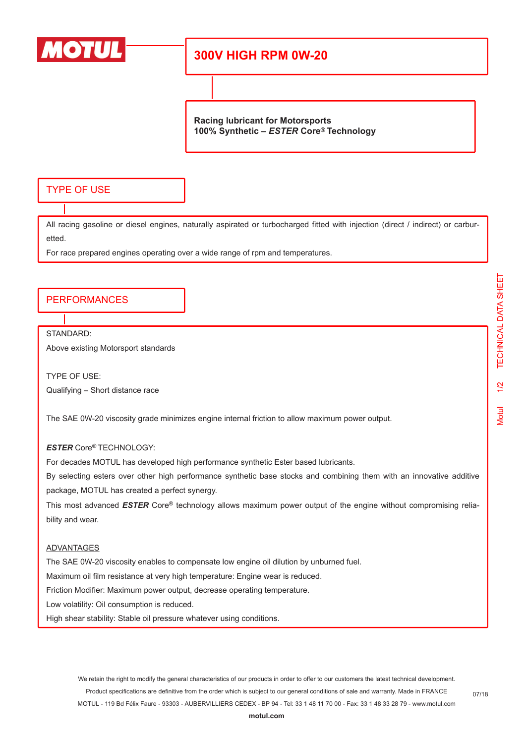

# **300V HIGH RPM 0W-20**

**Racing lubricant for Motorsports 100% Synthetic –** *ESTER* **Core® Technology**

## TYPE OF USE

All racing gasoline or diesel engines, naturally aspirated or turbocharged fitted with injection (direct / indirect) or carburetted.

For race prepared engines operating over a wide range of rpm and temperatures.

### PERFORMANCES

STANDARD:

Above existing Motorsport standards

TYPE OF USE: Qualifying – Short distance race

The SAE 0W-20 viscosity grade minimizes engine internal friction to allow maximum power output.

### *ESTER* Core® TECHNOLOGY:

For decades MOTUL has developed high performance synthetic Ester based lubricants.

By selecting esters over other high performance synthetic base stocks and combining them with an innovative additive package, MOTUL has created a perfect synergy.

This most advanced **ESTER** Core® technology allows maximum power output of the engine without compromising reliability and wear.

#### ADVANTAGES

The SAE 0W-20 viscosity enables to compensate low engine oil dilution by unburned fuel.

Maximum oil film resistance at very high temperature: Engine wear is reduced.

Friction Modifier: Maximum power output, decrease operating temperature.

Low volatility: Oil consumption is reduced.

High shear stability: Stable oil pressure whatever using conditions.

We retain the right to modify the general characteristics of our products in order to offer to our customers the latest technical development. Product specifications are definitive from the order which is subject to our general conditions of sale and warranty. Made in FRANCE MOTUL - 119 Bd Félix Faure - 93303 - AUBERVILLIERS CEDEX - BP 94 - Tel: 33 1 48 11 70 00 - Fax: 33 1 48 33 28 79 - www.motul.com